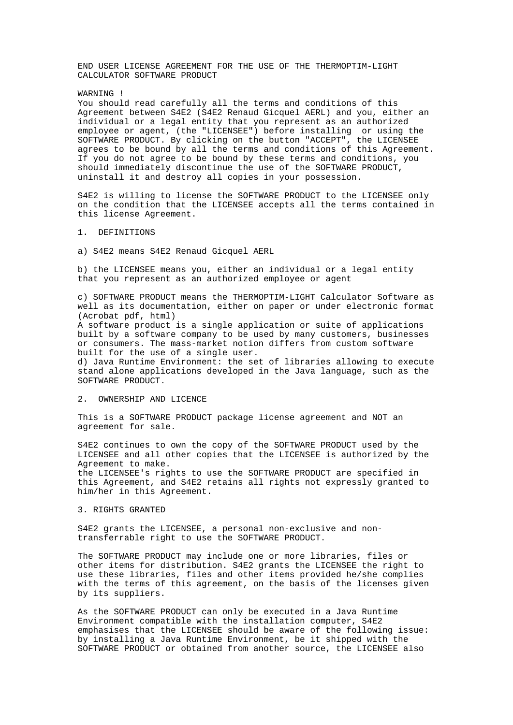END USER LICENSE AGREEMENT FOR THE USE OF THE THERMOPTIM-LIGHT CALCULATOR SOFTWARE PRODUCT

WARNING !

You should read carefully all the terms and conditions of this Agreement between S4E2 (S4E2 Renaud Gicquel AERL) and you, either an individual or a legal entity that you represent as an authorized employee or agent, (the "LICENSEE") before installing or using the SOFTWARE PRODUCT. By clicking on the button "ACCEPT", the LICENSEE agrees to be bound by all the terms and conditions of this Agreement. If you do not agree to be bound by these terms and conditions, you should immediately discontinue the use of the SOFTWARE PRODUCT, uninstall it and destroy all copies in your possession.

S4E2 is willing to license the SOFTWARE PRODUCT to the LICENSEE only on the condition that the LICENSEE accepts all the terms contained in this license Agreement.

# 1. DEFINITIONS

a) S4E2 means S4E2 Renaud Gicquel AERL

b) the LICENSEE means you, either an individual or a legal entity that you represent as an authorized employee or agent

c) SOFTWARE PRODUCT means the THERMOPTIM-LIGHT Calculator Software as well as its documentation, either on paper or under electronic format (Acrobat pdf, html)

A software product is a single application or suite of applications built by a software company to be used by many customers, businesses or consumers. The mass-market notion differs from custom software built for the use of a single user.

d) Java Runtime Environment: the set of libraries allowing to execute stand alone applications developed in the Java language, such as the SOFTWARE PRODUCT.

### 2. OWNERSHIP AND LICENCE

This is a SOFTWARE PRODUCT package license agreement and NOT an agreement for sale.

S4E2 continues to own the copy of the SOFTWARE PRODUCT used by the LICENSEE and all other copies that the LICENSEE is authorized by the Agreement to make.

the LICENSEE's rights to use the SOFTWARE PRODUCT are specified in this Agreement, and S4E2 retains all rights not expressly granted to him/her in this Agreement.

### 3. RIGHTS GRANTED

S4E2 grants the LICENSEE, a personal non-exclusive and nontransferrable right to use the SOFTWARE PRODUCT.

The SOFTWARE PRODUCT may include one or more libraries, files or other items for distribution. S4E2 grants the LICENSEE the right to use these libraries, files and other items provided he/she complies with the terms of this agreement, on the basis of the licenses given by its suppliers.

As the SOFTWARE PRODUCT can only be executed in a Java Runtime Environment compatible with the installation computer, S4E2 emphasises that the LICENSEE should be aware of the following issue: by installing a Java Runtime Environment, be it shipped with the SOFTWARE PRODUCT or obtained from another source, the LICENSEE also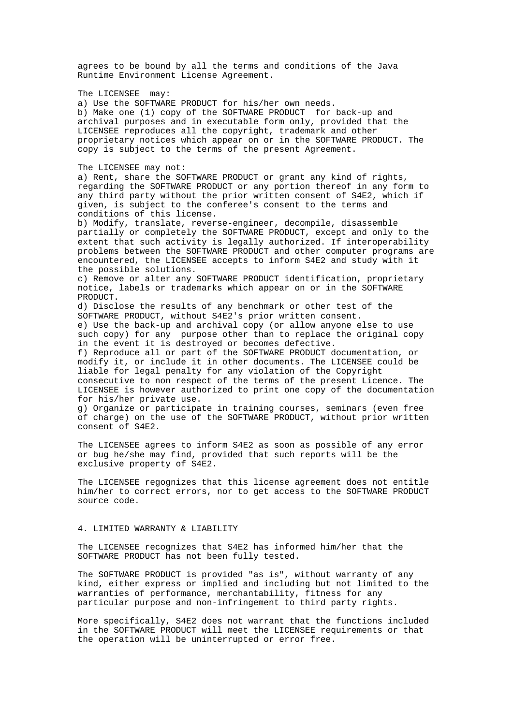agrees to be bound by all the terms and conditions of the Java Runtime Environment License Agreement. The LICENSEE may: a) Use the SOFTWARE PRODUCT for his/her own needs. b) Make one (1) copy of the SOFTWARE PRODUCT for back-up and archival purposes and in executable form only, provided that the LICENSEE reproduces all the copyright, trademark and other proprietary notices which appear on or in the SOFTWARE PRODUCT. The copy is subject to the terms of the present Agreement. The LICENSEE may not: a) Rent, share the SOFTWARE PRODUCT or grant any kind of rights, regarding the SOFTWARE PRODUCT or any portion thereof in any form to any third party without the prior written consent of S4E2, which if given, is subject to the conferee's consent to the terms and conditions of this license. b) Modify, translate, reverse-engineer, decompile, disassemble partially or completely the SOFTWARE PRODUCT, except and only to the extent that such activity is legally authorized. If interoperability problems between the SOFTWARE PRODUCT and other computer programs are encountered, the LICENSEE accepts to inform S4E2 and study with it the possible solutions. c) Remove or alter any SOFTWARE PRODUCT identification, proprietary notice, labels or trademarks which appear on or in the SOFTWARE **PRODICT.** d) Disclose the results of any benchmark or other test of the SOFTWARE PRODUCT, without S4E2's prior written consent. e) Use the back-up and archival copy (or allow anyone else to use such copy) for any purpose other than to replace the original copy in the event it is destroyed or becomes defective. f) Reproduce all or part of the SOFTWARE PRODUCT documentation, or modify it, or include it in other documents. The LICENSEE could be liable for legal penalty for any violation of the Copyright consecutive to non respect of the terms of the present Licence. The LICENSEE is however authorized to print one copy of the documentation for his/her private use. g) Organize or participate in training courses, seminars (even free of charge) on the use of the SOFTWARE PRODUCT, without prior written consent of S4E2. The LICENSEE agrees to inform S4E2 as soon as possible of any error or bug he/she may find, provided that such reports will be the

exclusive property of S4E2. The LICENSEE regognizes that this license agreement does not entitle him/her to correct errors, nor to get access to the SOFTWARE PRODUCT

#### 4. LIMITED WARRANTY & LIABILITY

source code.

The LICENSEE recognizes that S4E2 has informed him/her that the SOFTWARE PRODUCT has not been fully tested.

The SOFTWARE PRODUCT is provided "as is", without warranty of any kind, either express or implied and including but not limited to the warranties of performance, merchantability, fitness for any particular purpose and non-infringement to third party rights.

More specifically, S4E2 does not warrant that the functions included in the SOFTWARE PRODUCT will meet the LICENSEE requirements or that the operation will be uninterrupted or error free.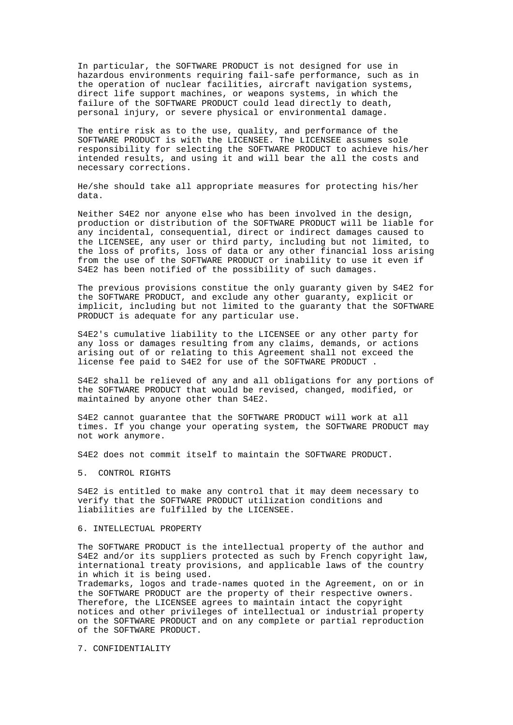In particular, the SOFTWARE PRODUCT is not designed for use in hazardous environments requiring fail-safe performance, such as in the operation of nuclear facilities, aircraft navigation systems, direct life support machines, or weapons systems, in which the failure of the SOFTWARE PRODUCT could lead directly to death, personal injury, or severe physical or environmental damage.

The entire risk as to the use, quality, and performance of the SOFTWARE PRODUCT is with the LICENSEE. The LICENSEE assumes sole responsibility for selecting the SOFTWARE PRODUCT to achieve his/her intended results, and using it and will bear the all the costs and necessary corrections.

He/she should take all appropriate measures for protecting his/her data.

Neither S4E2 nor anyone else who has been involved in the design, production or distribution of the SOFTWARE PRODUCT will be liable for any incidental, consequential, direct or indirect damages caused to the LICENSEE, any user or third party, including but not limited, to the loss of profits, loss of data or any other financial loss arising from the use of the SOFTWARE PRODUCT or inability to use it even if S4E2 has been notified of the possibility of such damages.

The previous provisions constitue the only guaranty given by S4E2 for the SOFTWARE PRODUCT, and exclude any other guaranty, explicit or implicit, including but not limited to the guaranty that the SOFTWARE PRODUCT is adequate for any particular use.

S4E2's cumulative liability to the LICENSEE or any other party for any loss or damages resulting from any claims, demands, or actions arising out of or relating to this Agreement shall not exceed the license fee paid to S4E2 for use of the SOFTWARE PRODUCT .

S4E2 shall be relieved of any and all obligations for any portions of the SOFTWARE PRODUCT that would be revised, changed, modified, or maintained by anyone other than S4E2.

S4E2 cannot guarantee that the SOFTWARE PRODUCT will work at all times. If you change your operating system, the SOFTWARE PRODUCT may not work anymore.

S4E2 does not commit itself to maintain the SOFTWARE PRODUCT.

5. CONTROL RIGHTS

S4E2 is entitled to make any control that it may deem necessary to verify that the SOFTWARE PRODUCT utilization conditions and liabilities are fulfilled by the LICENSEE.

#### 6. INTELLECTUAL PROPERTY

The SOFTWARE PRODUCT is the intellectual property of the author and S4E2 and/or its suppliers protected as such by French copyright law, international treaty provisions, and applicable laws of the country in which it is being used.

Trademarks, logos and trade-names quoted in the Agreement, on or in the SOFTWARE PRODUCT are the property of their respective owners. Therefore, the LICENSEE agrees to maintain intact the copyright notices and other privileges of intellectual or industrial property on the SOFTWARE PRODUCT and on any complete or partial reproduction of the SOFTWARE PRODUCT.

7. CONFIDENTIALITY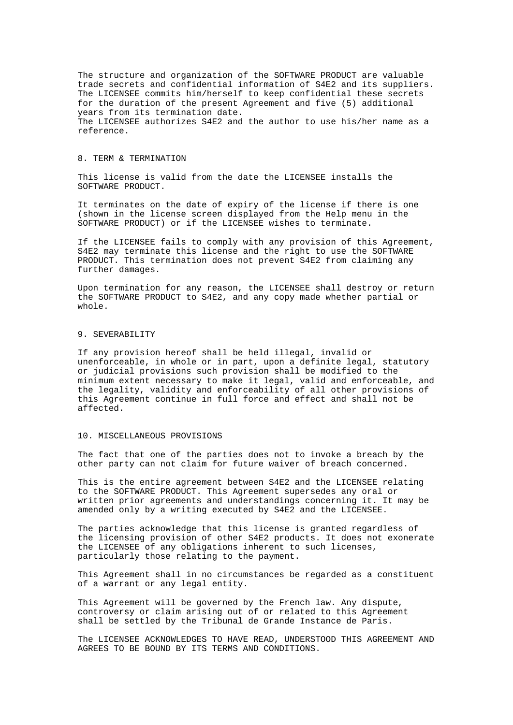The structure and organization of the SOFTWARE PRODUCT are valuable trade secrets and confidential information of S4E2 and its suppliers. The LICENSEE commits him/herself to keep confidential these secrets for the duration of the present Agreement and five (5) additional years from its termination date. The LICENSEE authorizes S4E2 and the author to use his/her name as a reference.

## 8. TERM & TERMINATION

This license is valid from the date the LICENSEE installs the SOFTWARE PRODUCT.

It terminates on the date of expiry of the license if there is one (shown in the license screen displayed from the Help menu in the SOFTWARE PRODUCT) or if the LICENSEE wishes to terminate.

If the LICENSEE fails to comply with any provision of this Agreement, S4E2 may terminate this license and the right to use the SOFTWARE PRODUCT. This termination does not prevent S4E2 from claiming any further damages.

Upon termination for any reason, the LICENSEE shall destroy or return the SOFTWARE PRODUCT to S4E2, and any copy made whether partial or whole.

## 9. SEVERABILITY

If any provision hereof shall be held illegal, invalid or unenforceable, in whole or in part, upon a definite legal, statutory or judicial provisions such provision shall be modified to the minimum extent necessary to make it legal, valid and enforceable, and the legality, validity and enforceability of all other provisions of this Agreement continue in full force and effect and shall not be affected.

### 10. MISCELLANEOUS PROVISIONS

The fact that one of the parties does not to invoke a breach by the other party can not claim for future waiver of breach concerned.

This is the entire agreement between S4E2 and the LICENSEE relating to the SOFTWARE PRODUCT. This Agreement supersedes any oral or written prior agreements and understandings concerning it. It may be amended only by a writing executed by S4E2 and the LICENSEE.

The parties acknowledge that this license is granted regardless of the licensing provision of other S4E2 products. It does not exonerate the LICENSEE of any obligations inherent to such licenses, particularly those relating to the payment.

This Agreement shall in no circumstances be regarded as a constituent of a warrant or any legal entity.

This Agreement will be governed by the French law. Any dispute, controversy or claim arising out of or related to this Agreement shall be settled by the Tribunal de Grande Instance de Paris.

The LICENSEE ACKNOWLEDGES TO HAVE READ, UNDERSTOOD THIS AGREEMENT AND AGREES TO BE BOUND BY ITS TERMS AND CONDITIONS.